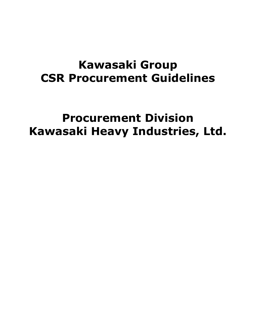# **Kawasaki Group CSR Procurement Guidelines**

# **Procurement Division Kawasaki Heavy Industries, Ltd.**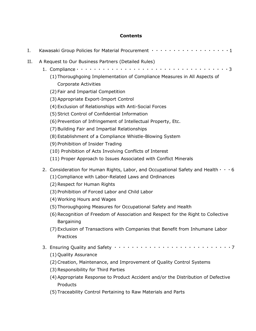# **Contents**

| Ι. | Kawasaki Group Policies for Material Procurement ···················1                                                                                                                                                                                                                                                                                                                                                                                                                                                                                                                                                                                                                                          |
|----|----------------------------------------------------------------------------------------------------------------------------------------------------------------------------------------------------------------------------------------------------------------------------------------------------------------------------------------------------------------------------------------------------------------------------------------------------------------------------------------------------------------------------------------------------------------------------------------------------------------------------------------------------------------------------------------------------------------|
| Н. | A Request to Our Business Partners (Detailed Rules)<br>(1) Thoroughgoing Implementation of Compliance Measures in All Aspects of<br><b>Corporate Activities</b><br>(2) Fair and Impartial Competition<br>(3) Appropriate Export-Import Control<br>(4) Exclusion of Relationships with Anti-Social Forces<br>(5) Strict Control of Confidential Information<br>(6) Prevention of Infringement of Intellectual Property, Etc.<br>(7) Building Fair and Impartial Relationships<br>(8) Establishment of a Compliance Whistle-Blowing System<br>(9) Prohibition of Insider Trading<br>(10) Prohibition of Acts Involving Conflicts of Interest<br>(11) Proper Approach to Issues Associated with Conflict Minerals |
|    | 2. Consideration for Human Rights, Labor, and Occupational Safety and Health $\cdots$ 6<br>(1) Compliance with Labor-Related Laws and Ordinances<br>(2) Respect for Human Rights<br>(3) Prohibition of Forced Labor and Child Labor<br>(4) Working Hours and Wages<br>(5) Thoroughgoing Measures for Occupational Safety and Health<br>(6) Recognition of Freedom of Association and Respect for the Right to Collective<br>Bargaining<br>(7) Exclusion of Transactions with Companies that Benefit from Inhumane Labor<br>Practices                                                                                                                                                                           |
|    | (1) Quality Assurance<br>(2) Creation, Maintenance, and Improvement of Quality Control Systems<br>(3) Responsibility for Third Parties<br>(4) Appropriate Response to Product Accident and/or the Distribution of Defective<br>Products<br>(5) Traceability Control Pertaining to Raw Materials and Parts                                                                                                                                                                                                                                                                                                                                                                                                      |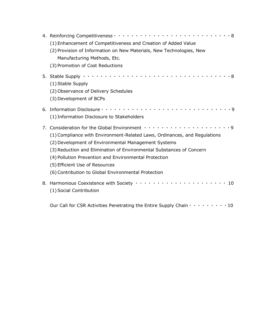| (1) Enhancement of Competitiveness and Creation of Added Value<br>(2) Provision of Information on New Materials, New Technologies, New<br>Manufacturing Methods, Etc.<br>(3) Promotion of Cost Reductions                                                                                                                                                                                                                                                    |
|--------------------------------------------------------------------------------------------------------------------------------------------------------------------------------------------------------------------------------------------------------------------------------------------------------------------------------------------------------------------------------------------------------------------------------------------------------------|
| (1) Stable Supply<br>(2) Observance of Delivery Schedules<br>(3) Development of BCPs                                                                                                                                                                                                                                                                                                                                                                         |
| (1) Information Disclosure to Stakeholders                                                                                                                                                                                                                                                                                                                                                                                                                   |
| 7. Consideration for the Global Environment $\cdots \cdots \cdots \cdots \cdots \cdots \cdots$<br>(1) Compliance with Environment-Related Laws, Ordinances, and Regulations<br>(2) Development of Environmental Management Systems<br>(3) Reduction and Elimination of Environmental Substances of Concern<br>(4) Pollution Prevention and Environmental Protection<br>(5) Efficient Use of Resources<br>(6) Contribution to Global Environmental Protection |
| 8. Harmonious Coexistence with Society ·······················10<br>(1) Social Contribution                                                                                                                                                                                                                                                                                                                                                                  |
| Our Call for CSR Activities Penetrating the Entire Supply Chain $\cdots \cdots \cdots$ 10                                                                                                                                                                                                                                                                                                                                                                    |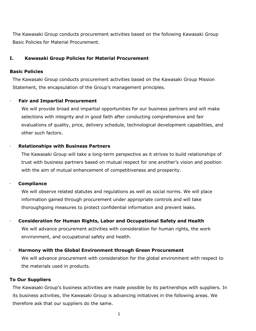The Kawasaki Group conducts procurement activities based on the following Kawasaki Group Basic Policies for Material Procurement.

#### **I. Kawasaki Group Policies for Material Procurement**

#### **Basic Policies**

The Kawasaki Group conducts procurement activities based on the Kawasaki Group Mission Statement, the encapsulation of the Group's management principles.

#### **Fair and Impartial Procurement**

We will provide broad and impartial opportunities for our business partners and will make selections with integrity and in good faith after conducting comprehensive and fair evaluations of quality, price, delivery schedule, technological development capabilities, and other such factors.

#### **Relationships with Business Partners**

The Kawasaki Group will take a long-term perspective as it strives to build relationships of trust with business partners based on mutual respect for one another's vision and position with the aim of mutual enhancement of competitiveness and prosperity.

#### **Compliance**

We will observe related statutes and regulations as well as social norms. We will place information gained through procurement under appropriate controls and will take thoroughgoing measures to protect confidential information and prevent leaks.

#### **Consideration for Human Rights, Labor and Occupational Safety and Health**

We will advance procurement activities with consideration for human rights, the work environment, and occupational safety and health.

#### **Harmony with the Global Environment through Green Procurement**

We will advance procurement with consideration for the global environment with respect to the materials used in products.

#### **To Our Suppliers**

The Kawasaki Group's business activities are made possible by its partnerships with suppliers. In its business activities, the Kawasaki Group is advancing initiatives in the following areas. We therefore ask that our suppliers do the same.

1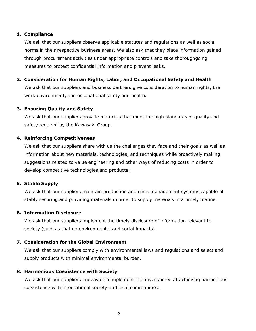# **1. Compliance**

We ask that our suppliers observe applicable statutes and regulations as well as social norms in their respective business areas. We also ask that they place information gained through procurement activities under appropriate controls and take thoroughgoing measures to protect confidential information and prevent leaks.

# **2. Consideration for Human Rights, Labor, and Occupational Safety and Health**

We ask that our suppliers and business partners give consideration to human rights, the work environment, and occupational safety and health.

# **3. Ensuring Quality and Safety**

We ask that our suppliers provide materials that meet the high standards of quality and safety required by the Kawasaki Group.

# **4. Reinforcing Competitiveness**

We ask that our suppliers share with us the challenges they face and their goals as well as information about new materials, technologies, and techniques while proactively making suggestions related to value engineering and other ways of reducing costs in order to develop competitive technologies and products.

# **5. Stable Supply**

We ask that our suppliers maintain production and crisis management systems capable of stably securing and providing materials in order to supply materials in a timely manner.

# **6. Information Disclosure**

We ask that our suppliers implement the timely disclosure of information relevant to society (such as that on environmental and social impacts).

# **7. Consideration for the Global Environment**

We ask that our suppliers comply with environmental laws and regulations and select and supply products with minimal environmental burden.

# **8. Harmonious Coexistence with Society**

We ask that our suppliers endeavor to implement initiatives aimed at achieving harmonious coexistence with international society and local communities.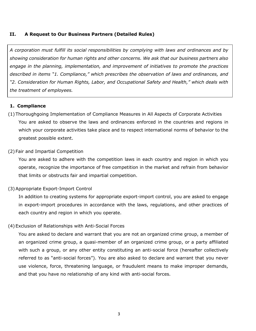# **II. A Request to Our Business Partners (Detailed Rules)**

*A corporation must fulfill its social responsibilities by complying with laws and ordinances and by showing consideration for human rights and other concerns. We ask that our business partners also engage in the planning, implementation, and improvement of initiatives to promote the practices described in items "1. Compliance," which prescribes the observation of laws and ordinances, and "2. Consideration for Human Rights, Labor, and Occupational Safety and Health," which deals with the treatment of employees.*

#### **1. Compliance**

(1) Thoroughgoing Implementation of Compliance Measures in All Aspects of Corporate Activities You are asked to observe the laws and ordinances enforced in the countries and regions in which your corporate activities take place and to respect international norms of behavior to the greatest possible extent.

#### (2) Fair and Impartial Competition

You are asked to adhere with the competition laws in each country and region in which you operate, recognize the importance of free competition in the market and refrain from behavior that limits or obstructs fair and impartial competition.

#### (3)Appropriate Export-Import Control

In addition to creating systems for appropriate export-import control, you are asked to engage in export-import procedures in accordance with the laws, regulations, and other practices of each country and region in which you operate.

#### (4) Exclusion of Relationships with Anti-Social Forces

You are asked to declare and warrant that you are not an organized crime group, a member of an organized crime group, a quasi-member of an organized crime group, or a party affiliated with such a group, or any other entity constituting an anti-social force (hereafter collectively referred to as "anti-social forces"). You are also asked to declare and warrant that you never use violence, force, threatening language, or fraudulent means to make improper demands, and that you have no relationship of any kind with anti-social forces.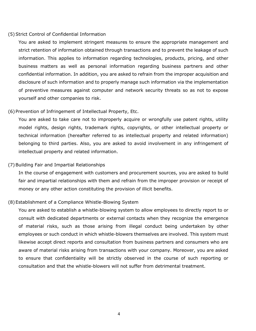#### (5)Strict Control of Confidential Information

You are asked to implement stringent measures to ensure the appropriate management and strict retention of information obtained through transactions and to prevent the leakage of such information. This applies to information regarding technologies, products, pricing, and other business matters as well as personal information regarding business partners and other confidential information. In addition, you are asked to refrain from the improper acquisition and disclosure of such information and to properly manage such information via the implementation of preventive measures against computer and network security threats so as not to expose yourself and other companies to risk.

#### (6)Prevention of Infringement of Intellectual Property, Etc.

You are asked to take care not to improperly acquire or wrongfully use patent rights, utility model rights, design rights, trademark rights, copyrights, or other intellectual property or technical information (hereafter referred to as intellectual property and related information) belonging to third parties. Also, you are asked to avoid involvement in any infringement of intellectual property and related information.

#### (7)Building Fair and Impartial Relationships

In the course of engagement with customers and procurement sources, you are asked to build fair and impartial relationships with them and refrain from the improper provision or receipt of money or any other action constituting the provision of illicit benefits.

### (8)Establishment of a Compliance Whistle-Blowing System

You are asked to establish a whistle-blowing system to allow employees to directly report to or consult with dedicated departments or external contacts when they recognize the emergence of material risks, such as those arising from illegal conduct being undertaken by other employees or such conduct in which whistle-blowers themselves are involved. This system must likewise accept direct reports and consultation from business partners and consumers who are aware of material risks arising from transactions with your company. Moreover, you are asked to ensure that confidentiality will be strictly observed in the course of such reporting or consultation and that the whistle-blowers will not suffer from detrimental treatment.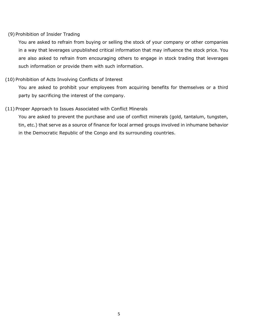# (9) Prohibition of Insider Trading

You are asked to refrain from buying or selling the stock of your company or other companies in a way that leverages unpublished critical information that may influence the stock price. You are also asked to refrain from encouraging others to engage in stock trading that leverages such information or provide them with such information.

# (10) Prohibition of Acts Involving Conflicts of Interest

You are asked to prohibit your employees from acquiring benefits for themselves or a third party by sacrificing the interest of the company.

# (11) Proper Approach to Issues Associated with Conflict Minerals

You are asked to prevent the purchase and use of conflict minerals (gold, tantalum, tungsten, tin, etc.) that serve as a source of finance for local armed groups involved in inhumane behavior in the Democratic Republic of the Congo and its surrounding countries.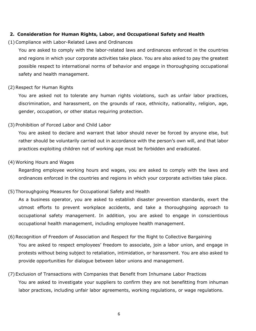# **2. Consideration for Human Rights, Labor, and Occupational Safety and Health**

#### (1)Compliance with Labor-Related Laws and Ordinances

You are asked to comply with the labor-related laws and ordinances enforced in the countries and regions in which your corporate activities take place. You are also asked to pay the greatest possible respect to international norms of behavior and engage in thoroughgoing occupational safety and health management.

#### (2)Respect for Human Rights

You are asked not to tolerate any human rights violations, such as unfair labor practices, discrimination, and harassment, on the grounds of race, ethnicity, nationality, religion, age, gender, occupation, or other status requiring protection.

#### (3) Prohibition of Forced Labor and Child Labor

You are asked to declare and warrant that labor should never be forced by anyone else, but rather should be voluntarily carried out in accordance with the person's own will, and that labor practices exploiting children not of working age must be forbidden and eradicated.

#### (4)Working Hours and Wages

Regarding employee working hours and wages, you are asked to comply with the laws and ordinances enforced in the countries and regions in which your corporate activities take place.

# (5) Thoroughgoing Measures for Occupational Safety and Health

As a business operator, you are asked to establish disaster prevention standards, exert the utmost efforts to prevent workplace accidents, and take a thoroughgoing approach to occupational safety management. In addition, you are asked to engage in conscientious occupational health management, including employee health management.

- (6)Recognition of Freedom of Association and Respect for the Right to Collective Bargaining You are asked to respect employees' freedom to associate, join a labor union, and engage in protests without being subject to retaliation, intimidation, or harassment. You are also asked to provide opportunities for dialogue between labor unions and management.
- (7) Exclusion of Transactions with Companies that Benefit from Inhumane Labor Practices You are asked to investigate your suppliers to confirm they are not benefitting from inhuman labor practices, including unfair labor agreements, working regulations, or wage regulations.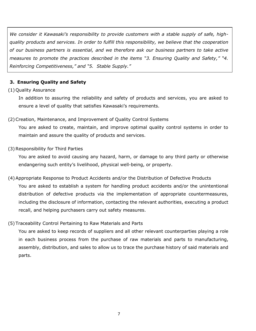*We consider it Kawasaki's responsibility to provide customers with a stable supply of safe, highquality products and services. In order to fulfill this responsibility, we believe that the cooperation of our business partners is essential, and we therefore ask our business partners to take active measures to promote the practices described in the items "3. Ensuring Quality and Safety," "4. Reinforcing Competitiveness," and "5. Stable Supply."*

# **3. Ensuring Quality and Safety**

# (1) Quality Assurance

In addition to assuring the reliability and safety of products and services, you are asked to ensure a level of quality that satisfies Kawasaki's requirements.

# (2) Creation, Maintenance, and Improvement of Quality Control Systems

You are asked to create, maintain, and improve optimal quality control systems in order to maintain and assure the quality of products and services.

# (3)Responsibility for Third Parties

You are asked to avoid causing any hazard, harm, or damage to any third party or otherwise endangering such entity's livelihood, physical well-being, or property.

(4)Appropriate Response to Product Accidents and/or the Distribution of Defective Products You are asked to establish a system for handling product accidents and/or the unintentional distribution of defective products via the implementation of appropriate countermeasures, including the disclosure of information, contacting the relevant authorities, executing a product recall, and helping purchasers carry out safety measures.

# (5) Traceability Control Pertaining to Raw Materials and Parts

You are asked to keep records of suppliers and all other relevant counterparties playing a role in each business process from the purchase of raw materials and parts to manufacturing, assembly, distribution, and sales to allow us to trace the purchase history of said materials and parts.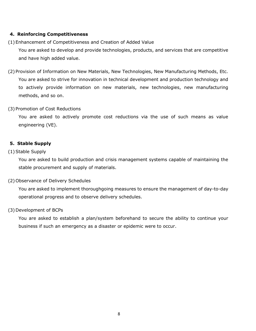# **4. Reinforcing Competitiveness**

(1) Enhancement of Competitiveness and Creation of Added Value

You are asked to develop and provide technologies, products, and services that are competitive and have high added value.

(2) Provision of Information on New Materials, New Technologies, New Manufacturing Methods, Etc. You are asked to strive for innovation in technical development and production technology and to actively provide information on new materials, new technologies, new manufacturing methods, and so on.

# (3) Promotion of Cost Reductions

You are asked to actively promote cost reductions via the use of such means as value engineering (VE).

# **5. Stable Supply**

# (1)Stable Supply

You are asked to build production and crisis management systems capable of maintaining the stable procurement and supply of materials.

# (2) Observance of Delivery Schedules

You are asked to implement thoroughgoing measures to ensure the management of day-to-day operational progress and to observe delivery schedules.

# (3) Development of BCPs

You are asked to establish a plan/system beforehand to secure the ability to continue your business if such an emergency as a disaster or epidemic were to occur.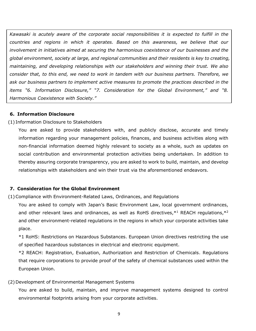*Kawasaki is acutely aware of the corporate social responsibilities it is expected to fulfill in the countries and regions in which it operates. Based on this awareness, we believe that our involvement in initiatives aimed at securing the harmonious coexistence of our businesses and the global environment, society at large, and regional communities and their residents is key to creating, maintaining, and developing relationships with our stakeholders and winning their trust. We also consider that, to this end, we need to work in tandem with our business partners. Therefore, we ask our business partners to implement active measures to promote the practices described in the items "6. Information Disclosure," "7. Consideration for the Global Environment," and "8. Harmonious Coexistence with Society."*

# **6. Information Disclosure**

#### (1) Information Disclosure to Stakeholders

You are asked to provide stakeholders with, and publicly disclose, accurate and timely information regarding your management policies, finances, and business activities along with non-financial information deemed highly relevant to society as a whole, such as updates on social contribution and environmental protection activities being undertaken. In addition to thereby assuring corporate transparency, you are asked to work to build, maintain, and develop relationships with stakeholders and win their trust via the aforementioned endeavors.

# **7. Consideration for the Global Environment**

(1)Compliance with Environment-Related Laws, Ordinances, and Regulations

You are asked to comply with Japan's Basic Environment Law, local government ordinances, and other relevant laws and ordinances, as well as RoHS directives, $*1$  REACH regulations, $*2$ and other environment-related regulations in the regions in which your corporate activities take place.

\*1 RoHS: Restrictions on Hazardous Substances. European Union directives restricting the use of specified hazardous substances in electrical and electronic equipment.

\*2 REACH: Registration, Evaluation, Authorization and Restriction of Chemicals. Regulations that require corporations to provide proof of the safety of chemical substances used within the European Union.

#### (2) Development of Environmental Management Systems

You are asked to build, maintain, and improve management systems designed to control environmental footprints arising from your corporate activities.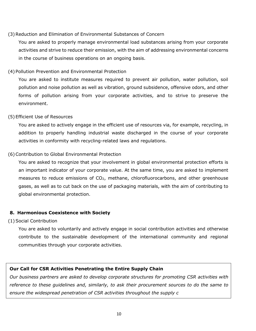# (3)Reduction and Elimination of Environmental Substances of Concern

You are asked to properly manage environmental load substances arising from your corporate activities and strive to reduce their emission, with the aim of addressing environmental concerns in the course of business operations on an ongoing basis.

# (4) Pollution Prevention and Environmental Protection

You are asked to institute measures required to prevent air pollution, water pollution, soil pollution and noise pollution as well as vibration, ground subsidence, offensive odors, and other forms of pollution arising from your corporate activities, and to strive to preserve the environment.

# (5) Efficient Use of Resources

You are asked to actively engage in the efficient use of resources via, for example, recycling, in addition to properly handling industrial waste discharged in the course of your corporate activities in conformity with recycling-related laws and regulations.

# (6)Contribution to Global Environmental Protection

You are asked to recognize that your involvement in global environmental protection efforts is an important indicator of your corporate value. At the same time, you are asked to implement measures to reduce emissions of  $CO<sub>2</sub>$ , methane, chlorofluorocarbons, and other greenhouse gases, as well as to cut back on the use of packaging materials, with the aim of contributing to global environmental protection.

# **8. Harmonious Coexistence with Society**

#### (1)Social Contribution

You are asked to voluntarily and actively engage in social contribution activities and otherwise contribute to the sustainable development of the international community and regional communities through your corporate activities.

# **Our Call for CSR Activities Penetrating the Entire Supply Chain**

*Our business partners are asked to develop corporate structures for promoting CSR activities with reference to these guidelines and, similarly, to ask their procurement sources to do the same to ensure the widespread penetration of CSR activities throughout the supply c*